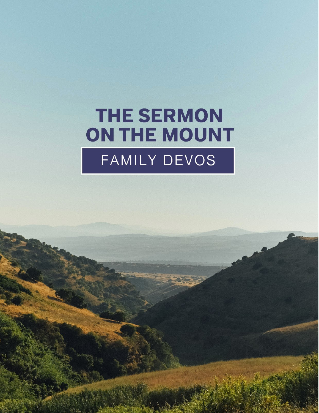# **THE SERMON** ON THE MOUNT FAMILY DEVOS

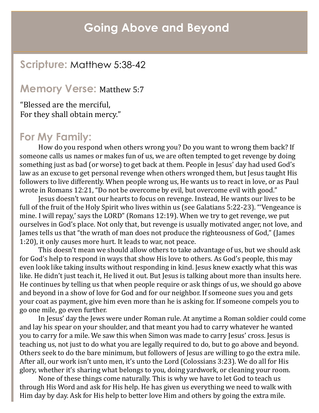## **Going Above and Beyond**

## **Scripture:** Matthew 5:38-42

#### **Memory Verse:** Matthew 5:7

"Blessed are the merciful, For they shall obtain mercy."

### **For My Family:**

How do you respond when others wrong you? Do you want to wrong them back? If someone calls us names or makes fun of us, we are often tempted to get revenge by doing something just as bad (or worse) to get back at them. People in Jesus' day had used God's law as an excuse to get personal revenge when others wronged them, but Jesus taught His followers to live differently. When people wrong us, He wants us to react in love, or as Paul wrote in Romans 12:21, "Do not be overcome by evil, but overcome evil with good."

Jesus doesn't want our hearts to focus on revenge. Instead, He wants our lives to be full of the fruit of the Holy Spirit who lives within us (see Galatians 5:22-23). "'Vengeance is mine. I will repay,' says the LORD" (Romans 12:19). When we try to get revenge, we put ourselves in God's place. Not only that, but revenge is usually motivated anger, not love, and James tells us that "the wrath of man does not produce the righteousness of God," (James 1:20), it only causes more hurt. It leads to war, not peace.

This doesn't mean we should allow others to take advantage of us, but we should ask for God's help to respond in ways that show His love to others. As God's people, this may even look like taking insults without responding in kind. Jesus knew exactly what this was like. He didn't just teach it, He lived it out. But Jesus is talking about more than insults here. He continues by telling us that when people require or ask things of us, we should go above and beyond in a show of love for God and for our neighbor. If someone sues you and gets your coat as payment, give him even more than he is asking for. If someone compels you to go one mile, go even further.

In Jesus' day the Jews were under Roman rule. At anytime a Roman soldier could come and lay his spear on your shoulder, and that meant you had to carry whatever he wanted you to carry for a mile. We saw this when Simon was made to carry Jesus' cross. Jesus is teaching us, not just to do what you are legally required to do, but to go above and beyond. Others seek to do the bare minimum, but followers of Jesus are willing to go the extra mile. After all, our work isn't unto men, it's unto the Lord (Colossians 3:23). We do all for His glory, whether it's sharing what belongs to you, doing yardwork, or cleaning your room.

None of these things come naturally. This is why we have to let God to teach us through His Word and ask for His help. He has given us everything we need to walk with Him day by day. Ask for His help to better love Him and others by going the extra mile.